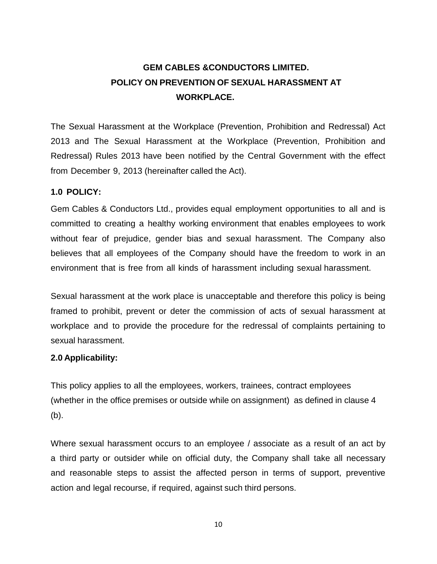# **GEM CABLES &CONDUCTORS LIMITED. POLICY ON PREVENTION OF SEXUAL HARASSMENT AT WORKPLACE.**

The Sexual Harassment at the Workplace (Prevention, Prohibition and Redressal) Act 2013 and The Sexual Harassment at the Workplace (Prevention, Prohibition and Redressal) Rules 2013 have been notified by the Central Government with the effect from December 9, 2013 (hereinafter called the Act).

## **1.0 POLICY:**

Gem Cables & Conductors Ltd., provides equal employment opportunities to all and is committed to creating a healthy working environment that enables employees to work without fear of prejudice, gender bias and sexual harassment. The Company also believes that all employees of the Company should have the freedom to work in an environment that is free from all kinds of harassment including sexual harassment.

Sexual harassment at the work place is unacceptable and therefore this policy is being framed to prohibit, prevent or deter the commission of acts of sexual harassment at workplace and to provide the procedure for the redressal of complaints pertaining to sexual harassment.

#### **2.0 Applicability:**

This policy applies to all the employees, workers, trainees, contract employees (whether in the office premises or outside while on assignment) as defined in clause 4 (b).

Where sexual harassment occurs to an employee / associate as a result of an act by a third party or outsider while on official duty, the Company shall take all necessary and reasonable steps to assist the affected person in terms of support, preventive action and legal recourse, if required, against such third persons.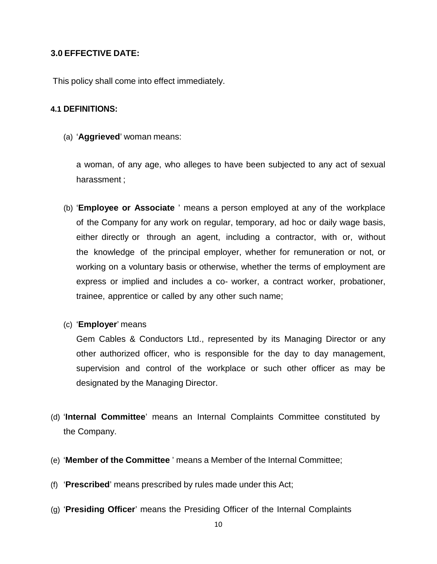## **3.0 EFFECTIVE DATE:**

This policy shall come into effect immediately.

#### **4.1 DEFINITIONS:**

(a) '**Aggrieved**' woman means:

a woman, of any age, who alleges to have been subjected to any act of sexual harassment ;

- (b) '**Employee or Associate** ' means a person employed at any of the workplace of the Company for any work on regular, temporary, ad hoc or daily wage basis, either directly or through an agent, including a contractor, with or, without the knowledge of the principal employer, whether for remuneration or not, or working on a voluntary basis or otherwise, whether the terms of employment are express or implied and includes a co- worker, a contract worker, probationer, trainee, apprentice or called by any other such name;
- (c) '**Employer**' means

Gem Cables & Conductors Ltd., represented by its Managing Director or any other authorized officer, who is responsible for the day to day management, supervision and control of the workplace or such other officer as may be designated by the Managing Director.

- (d) '**Internal Committee**' means an Internal Complaints Committee constituted by the Company.
- (e) '**Member of the Committee** ' means a Member of the Internal Committee;
- (f) '**Prescribed**' means prescribed by rules made under this Act;
- (g) '**Presiding Officer**' means the Presiding Officer of the Internal Complaints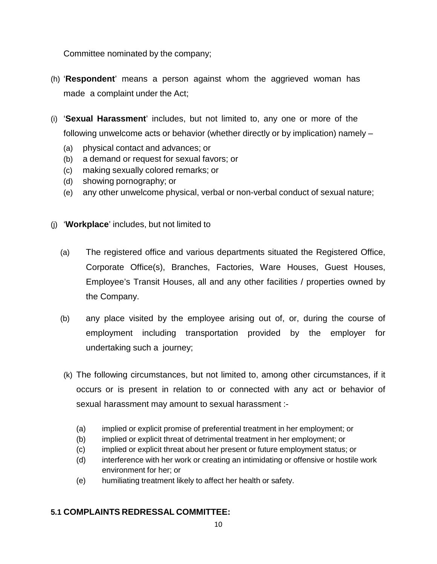Committee nominated by the company;

- (h) '**Respondent**' means a person against whom the aggrieved woman has made a complaint under the Act;
- (i) '**Sexual Harassment**' includes, but not limited to, any one or more of the following unwelcome acts or behavior (whether directly or by implication) namely –
	- (a) physical contact and advances; or
	- (b) a demand or request for sexual favors; or
	- (c) making sexually colored remarks; or
	- (d) showing pornography; or
	- (e) any other unwelcome physical, verbal or non-verbal conduct of sexual nature;
- (j) '**Workplace**' includes, but not limited to
	- (a) The registered office and various departments situated the Registered Office, Corporate Office(s), Branches, Factories, Ware Houses, Guest Houses, Employee's Transit Houses, all and any other facilities / properties owned by the Company.
	- (b) any place visited by the employee arising out of, or, during the course of employment including transportation provided by the employer for undertaking such a journey;
	- (k) The following circumstances, but not limited to, among other circumstances, if it occurs or is present in relation to or connected with any act or behavior of sexual harassment may amount to sexual harassment :-
		- (a) implied or explicit promise of preferential treatment in her employment; or
		- (b) implied or explicit threat of detrimental treatment in her employment; or
		- (c) implied or explicit threat about her present or future employment status; or
		- (d) interference with her work or creating an intimidating or offensive or hostile work environment for her; or
		- (e) humiliating treatment likely to affect her health or safety.

# **5.1 COMPLAINTS REDRESSAL COMMITTEE:**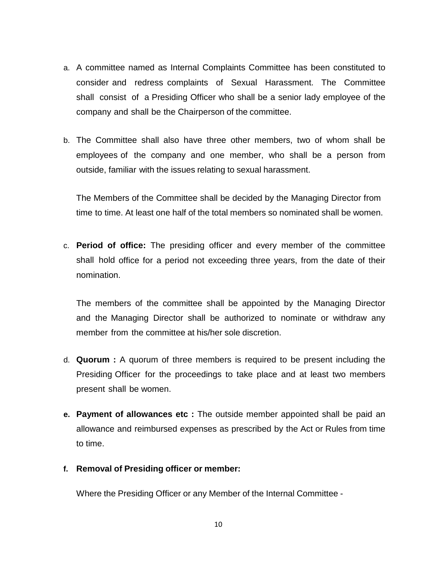- a. A committee named as Internal Complaints Committee has been constituted to consider and redress complaints of Sexual Harassment. The Committee shall consist of a Presiding Officer who shall be a senior lady employee of the company and shall be the Chairperson of the committee.
- b. The Committee shall also have three other members, two of whom shall be employees of the company and one member, who shall be a person from outside, familiar with the issues relating to sexual harassment.

The Members of the Committee shall be decided by the Managing Director from time to time. At least one half of the total members so nominated shall be women.

c. **Period of office:** The presiding officer and every member of the committee shall hold office for a period not exceeding three years, from the date of their nomination.

The members of the committee shall be appointed by the Managing Director and the Managing Director shall be authorized to nominate or withdraw any member from the committee at his/her sole discretion.

- d. **Quorum :** A quorum of three members is required to be present including the Presiding Officer for the proceedings to take place and at least two members present shall be women.
- **e. Payment of allowances etc :** The outside member appointed shall be paid an allowance and reimbursed expenses as prescribed by the Act or Rules from time to time.
- **f. Removal of Presiding officer or member:**

Where the Presiding Officer or any Member of the Internal Committee -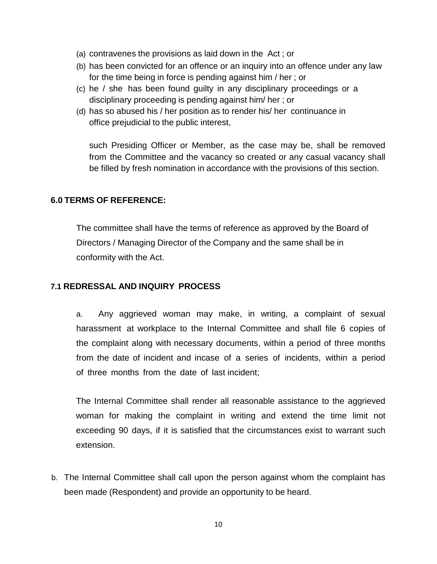- (a) contravenes the provisions as laid down in the Act ; or
- (b) has been convicted for an offence or an inquiry into an offence under any law for the time being in force is pending against him / her ; or
- (c) he / she has been found guilty in any disciplinary proceedings or a disciplinary proceeding is pending against him/ her ; or
- (d) has so abused his / her position as to render his/ her continuance in office prejudicial to the public interest,

such Presiding Officer or Member, as the case may be, shall be removed from the Committee and the vacancy so created or any casual vacancy shall be filled by fresh nomination in accordance with the provisions of this section.

#### **6.0 TERMS OF REFERENCE:**

The committee shall have the terms of reference as approved by the Board of Directors / Managing Director of the Company and the same shall be in conformity with the Act.

# **7.1 REDRESSAL AND INQUIRY PROCESS**

a. Any aggrieved woman may make, in writing, a complaint of sexual harassment at workplace to the Internal Committee and shall file 6 copies of the complaint along with necessary documents, within a period of three months from the date of incident and incase of a series of incidents, within a period of three months from the date of last incident;

The Internal Committee shall render all reasonable assistance to the aggrieved woman for making the complaint in writing and extend the time limit not exceeding 90 days, if it is satisfied that the circumstances exist to warrant such extension.

b. The Internal Committee shall call upon the person against whom the complaint has been made (Respondent) and provide an opportunity to be heard.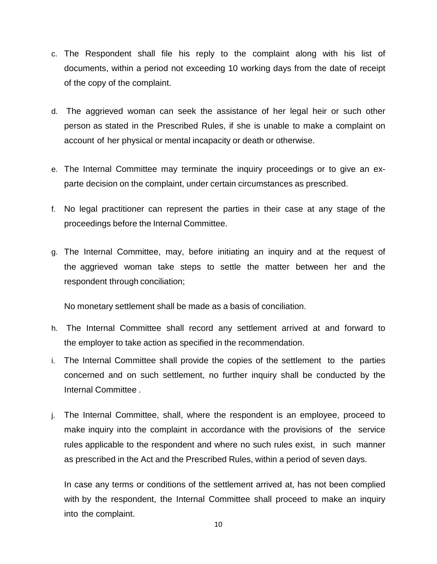- c. The Respondent shall file his reply to the complaint along with his list of documents, within a period not exceeding 10 working days from the date of receipt of the copy of the complaint.
- d. The aggrieved woman can seek the assistance of her legal heir or such other person as stated in the Prescribed Rules, if she is unable to make a complaint on account of her physical or mental incapacity or death or otherwise.
- e. The Internal Committee may terminate the inquiry proceedings or to give an exparte decision on the complaint, under certain circumstances as prescribed.
- f. No legal practitioner can represent the parties in their case at any stage of the proceedings before the Internal Committee.
- g. The Internal Committee, may, before initiating an inquiry and at the request of the aggrieved woman take steps to settle the matter between her and the respondent through conciliation;

No monetary settlement shall be made as a basis of conciliation.

- h. The Internal Committee shall record any settlement arrived at and forward to the employer to take action as specified in the recommendation.
- i. The Internal Committee shall provide the copies of the settlement to the parties concerned and on such settlement, no further inquiry shall be conducted by the Internal Committee .
- j. The Internal Committee, shall, where the respondent is an employee, proceed to make inquiry into the complaint in accordance with the provisions of the service rules applicable to the respondent and where no such rules exist, in such manner as prescribed in the Act and the Prescribed Rules, within a period of seven days.

In case any terms or conditions of the settlement arrived at, has not been complied with by the respondent, the Internal Committee shall proceed to make an inquiry into the complaint.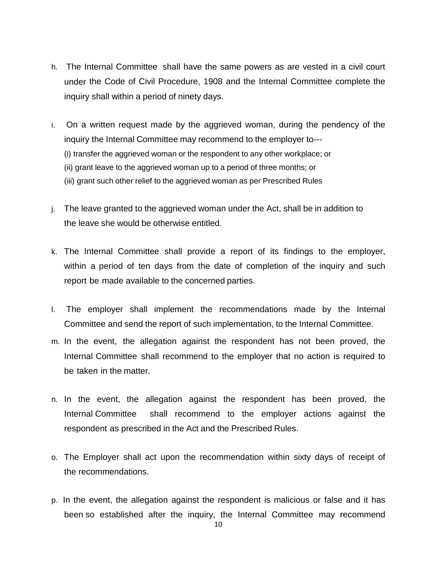- h. The Internal Committee shall have the same powers as are vested in a civil court under the Code of Civil Procedure, 1908 and the Internal Committee complete the inquiry shall within a period of ninety days.
- i. On a written request made by the aggrieved woman, during the pendency of the inquiry the Internal Committee may recommend to the employer to--- (i) transfer the aggrieved woman or the respondent to any other workplace; or (ii) grant leave to the aggrieved woman up to a period of three months; or (iii) grant such other relief to the aggrieved woman as per Prescribed Rules
- j. The leave granted to the aggrieved woman under the Act, shall be in addition to the leave she would be otherwise entitled.
- k. The Internal Committee shall provide a report of its findings to the employer, within a period of ten days from the date of completion of the inquiry and such report be made available to the concerned parties.
- l. The employer shall implement the recommendations made by the Internal Committee and send the report of such implementation, to the Internal Committee.
- m. In the event, the allegation against the respondent has not been proved, the Internal Committee shall recommend to the employer that no action is required to be taken in the matter.
- n. In the event, the allegation against the respondent has been proved, the Internal Committee shall recommend to the employer actions against the respondent as prescribed in the Act and the Prescribed Rules.
- o. The Employer shall act upon the recommendation within sixty days of receipt of the recommendations.
- p. In the event, the allegation against the respondent is malicious or false and it has been so established after the inquiry, the Internal Committee may recommend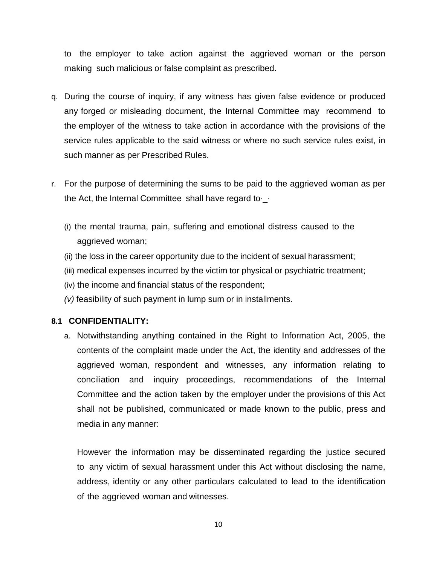to the employer to take action against the aggrieved woman or the person making such malicious or false complaint as prescribed.

- q. During the course of inquiry, if any witness has given false evidence or produced any forged or misleading document, the Internal Committee may recommend to the employer of the witness to take action in accordance with the provisions of the service rules applicable to the said witness or where no such service rules exist, in such manner as per Prescribed Rules.
- r. For the purpose of determining the sums to be paid to the aggrieved woman as per the Act, the Internal Committee shall have regard to  $\cdot$ 
	- (i) the mental trauma, pain, suffering and emotional distress caused to the aggrieved woman;
	- (ii) the loss in the career opportunity due to the incident of sexual harassment;
	- (iii) medical expenses incurred by the victim tor physical or psychiatric treatment;
	- (iv) the income and financial status of the respondent;
	- *(v)* feasibility of such payment in lump sum or in installments.

#### **8.1 CONFIDENTIALITY:**

a. Notwithstanding anything contained in the Right to Information Act, 2005, the contents of the complaint made under the Act, the identity and addresses of the aggrieved woman, respondent and witnesses, any information relating to conciliation and inquiry proceedings, recommendations of the Internal Committee and the action taken by the employer under the provisions of this Act shall not be published, communicated or made known to the public, press and media in any manner:

However the information may be disseminated regarding the justice secured to any victim of sexual harassment under this Act without disclosing the name, address, identity or any other particulars calculated to lead to the identification of the aggrieved woman and witnesses.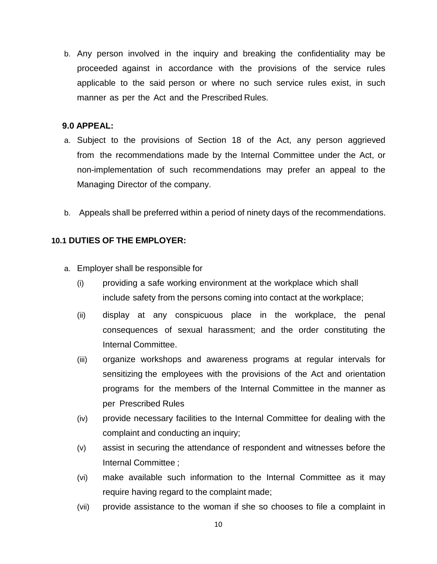b. Any person involved in the inquiry and breaking the confidentiality may be proceeded against in accordance with the provisions of the service rules applicable to the said person or where no such service rules exist, in such manner as per the Act and the Prescribed Rules.

#### **9.0 APPEAL:**

- a. Subject to the provisions of Section 18 of the Act, any person aggrieved from the recommendations made by the Internal Committee under the Act, or non-implementation of such recommendations may prefer an appeal to the Managing Director of the company.
- b. Appeals shall be preferred within a period of ninety days of the recommendations.

#### **10.1 DUTIES OF THE EMPLOYER:**

- a. Employer shall be responsible for
	- (i) providing a safe working environment at the workplace which shall include safety from the persons coming into contact at the workplace;
	- (ii) display at any conspicuous place in the workplace, the penal consequences of sexual harassment; and the order constituting the Internal Committee.
	- (iii) organize workshops and awareness programs at regular intervals for sensitizing the employees with the provisions of the Act and orientation programs for the members of the Internal Committee in the manner as per Prescribed Rules
	- (iv) provide necessary facilities to the Internal Committee for dealing with the complaint and conducting an inquiry;
	- (v) assist in securing the attendance of respondent and witnesses before the Internal Committee ;
	- (vi) make available such information to the Internal Committee as it may require having regard to the complaint made;
	- (vii) provide assistance to the woman if she so chooses to file a complaint in